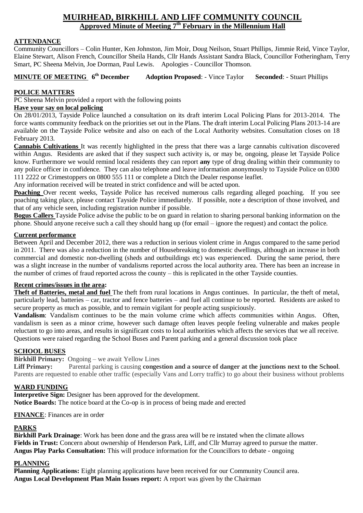# **MUIRHEAD, BIRKHILL AND LIFF COMMUNITY COUNCIL Approved Minute of Meeting 7 th February in the Millennium Hall**

## **ATTENDANCE**

Community Councillors – Colin Hunter, Ken Johnston, Jim Moir, Doug Neilson, Stuart Phillips, Jimmie Reid, Vince Taylor, Elaine Stewart, Alison French, Councillor Sheila Hands, Cllr Hands Assistant Sandra Black, Councillor Fotheringham, Terry Smart, PC Sheena Melvin, Joe Dorman, Paul Lewis. Apologies - Councillor Thomson.

**MINUTE OF MEETING 6<sup>th</sup> December Adoption Proposed:** - Vince Taylor **Seconded:** - Stuart Phillips

# **POLICE MATTERS**

PC Sheena Melvin provided a report with the following points

# **Have your say on local policing**

On 28/01/2013, Tayside Police launched a consultation on its draft interim Local Policing Plans for 2013-2014. The force wants community feedback on the priorities set out in the Plans. The draft interim Local Policing Plans 2013-14 are available on the Tayside Police website and also on each of the Local Authority websites. Consultation closes on 18 February 2013.

**Cannabis Cultivations** It was recently highlighted in the press that there was a large cannabis cultivation discovered within Angus. Residents are asked that if they suspect such activity is, or may be, ongoing, please let Tayside Police know. Furthermore we would remind local residents they can report **any** type of drug dealing within their community to any police officer in confidence. They can also telephone and leave information anonymously to Tayside Police on 0300 111 2222 or Crimestoppers on 0800 555 111 or complete a Ditch the Dealer response leaflet.

Any information received will be treated in strict confidence and will be acted upon.

**Poaching** Over recent weeks, Tayside Police has received numerous calls regarding alleged poaching. If you see poaching taking place, please contact Tayside Police immediately. If possible, note a description of those involved, and that of any vehicle seen, including registration number if possible.

**Bogus Callers** Tayside Police advise the public to be on guard in relation to sharing personal banking information on the phone. Should anyone receive such a call they should hang up (for email – ignore the request) and contact the police.

# **Current performance**

Between April and December 2012, there was a reduction in serious violent crime in Angus compared to the same period in 2011. There was also a reduction in the number of Housebreaking to domestic dwellings, although an increase in both commercial and domestic non-dwelling (sheds and outbuildings etc) was experienced. During the same period, there was a slight increase in the number of vandalisms reported across the local authority area. There has been an increase in the number of crimes of fraud reported across the county – this is replicated in the other Tayside counties.

#### **Recent crimes/issues in the area:**

**Theft of Batteries, metal and fuel** The theft from rural locations in Angus continues. In particular, the theft of metal, particularly lead, batteries – car, tractor and fence batteries – and fuel all continue to be reported. Residents are asked to secure property as much as possible, and to remain vigilant for people acting suspiciously.

**Vandalism**: Vandalism continues to be the main volume crime which affects communities within Angus. Often, vandalism is seen as a minor crime, however such damage often leaves people feeling vulnerable and makes people reluctant to go into areas, and results in significant costs to local authorities which affects the services that we all receive. Questions were raised regarding the School Buses and Parent parking and a general discussion took place

## **SCHOOL BUSES**

**Birkhill Primary:** Ongoing – we await Yellow Lines

**Liff Primary:** Parental parking is causing **congestion and a source of danger at the junctions next to the School**. Parents are requested to enable other traffic (especially Vans and Lorry traffic) to go about their business without problems

# **WARD FUNDING**

**Interpretive Sign:** Designer has been approved for the development. **Notice Boards:** The notice board at the Co-op is in process of being made and erected

# **FINANCE**: Finances are in order

# **PARKS**

**Birkhill Park Drainage**: Work has been done and the grass area will be re instated when the climate allows **Fields in Trust:** Concern about ownership of Henderson Park, Liff, and Cllr Murray agreed to pursue the matter. **Angus Play Parks Consultation:** This will produce information for the Councillors to debate - ongoing

# **PLANNING**

**Planning Applications:** Eight planning applications have been received for our Community Council area. **Angus Local Development Plan Main Issues report:** A report was given by the Chairman